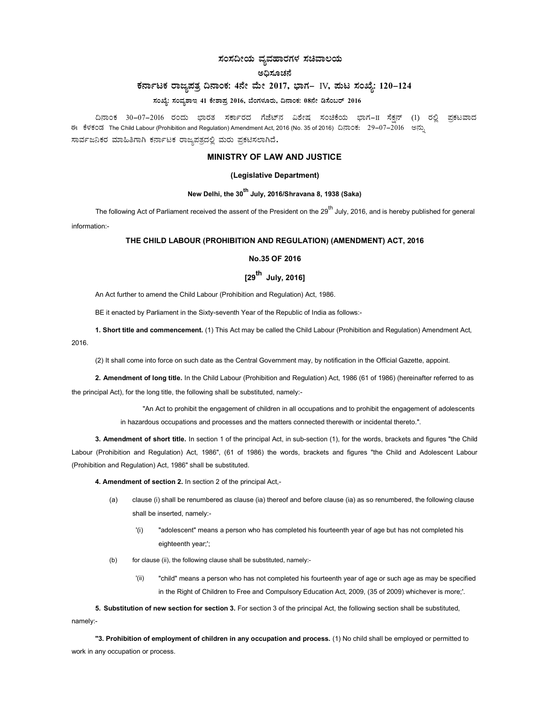# ಸಂಸದೀಯ ವ್ಯವಹಾರಗಳ ಸಚಿವಾಲಯ

# ಅಧಿಸೂಚನೆ

# ಕರ್ನಾಟಕ ರಾಜ್ಯಪತ್ರ ದಿನಾಂಕ: 4ನೇ ಮೇ 2017, ಭಾಗ– IV, ಮಟ ಸಂಖ್ಯೆ: 120-124

ಸಂಖ್ಯೆ: ಸಂವ್ಯಶಾಇ 41 ಕೇಶಾಪ್ರ 2016, ಬೆಂಗಳೂರು, ದಿನಾಂಕ: 08ನೇ ಡಿಸೆಂಬರ್ 2016

ದಿನಾಂಕ 30−07−2016 ರಂದು ಭಾರತ ಸರ್ಕಾರದ ಗೆಜೆಟ್**ನ ವಿಶೇಷ ಸಂಚಿಕೆಯ ಭಾಗ−II ಸೆಕ್ಷನ್ (1) ರಲ್ಲಿ** ಪ್ರಕಟವಾದ ಈ ಕೆಳಕಂಡ The Child Labour (Prohibition and Regulation) Amendment Act, 2016 (No. 35 of 2016) ದಿನಾಂಕ: 29–07–2016 ಅನ್ಸು ಸಾರ್ವಜನಿಕರ ಮಾಹಿತಿಗಾಗಿ ಕರ್ನಾಟಕ ರಾಜ್ಯಪತ್ರದಲ್ಲಿ ಮರು ಪ್ರಕಟಿಸಲಾಗಿದೆ.

## MINISTRY OF LAW AND JUSTICE

### (Legislative Department)

# New Delhi, the 30<sup>th</sup> July, 2016/Shravana 8, 1938 (Saka)

The following Act of Parliament received the assent of the President on the 29<sup>th</sup> July, 2016, and is hereby published for general information:-

## THE CHILD LABOUR (PROHIBITION AND REGULATION) (AMENDMENT) ACT, 2016

### No.35 OF 2016

# $[29^{th}$  July, 2016]

An Act further to amend the Child Labour (Prohibition and Regulation) Act, 1986.

BE it enacted by Parliament in the Sixty-seventh Year of the Republic of India as follows:-

1. Short title and commencement. (1) This Act may be called the Child Labour (Prohibition and Regulation) Amendment Act, 2016.

(2) It shall come into force on such date as the Central Government may, by notification in the Official Gazette, appoint.

2. Amendment of long title. In the Child Labour (Prohibition and Regulation) Act, 1986 (61 of 1986) (hereinafter referred to as the principal Act), for the long title, the following shall be substituted, namely:-

> "An Act to prohibit the engagement of children in all occupations and to prohibit the engagement of adolescents in hazardous occupations and processes and the matters connected therewith or incidental thereto.".

3. Amendment of short title. In section 1 of the principal Act, in sub-section (1), for the words, brackets and figures "the Child Labour (Prohibition and Regulation) Act, 1986", (61 of 1986) the words, brackets and figures "the Child and Adolescent Labour (Prohibition and Regulation) Act, 1986" shall be substituted.

4. Amendment of section 2. In section 2 of the principal Act,-

- (a) clause (i) shall be renumbered as clause (ia) thereof and before clause (ia) as so renumbered, the following clause shall be inserted, namely:-
	- '(i) "adolescent" means a person who has completed his fourteenth year of age but has not completed his eighteenth year;';
- (b) for clause (ii), the following clause shall be substituted, namely:-
	- '(ii) "child" means a person who has not completed his fourteenth year of age or such age as may be specified in the Right of Children to Free and Compulsory Education Act, 2009, (35 of 2009) whichever is more;'.

5. Substitution of new section for section 3. For section 3 of the principal Act, the following section shall be substituted, namely:-

"3. Prohibition of employment of children in any occupation and process. (1) No child shall be employed or permitted to work in any occupation or process.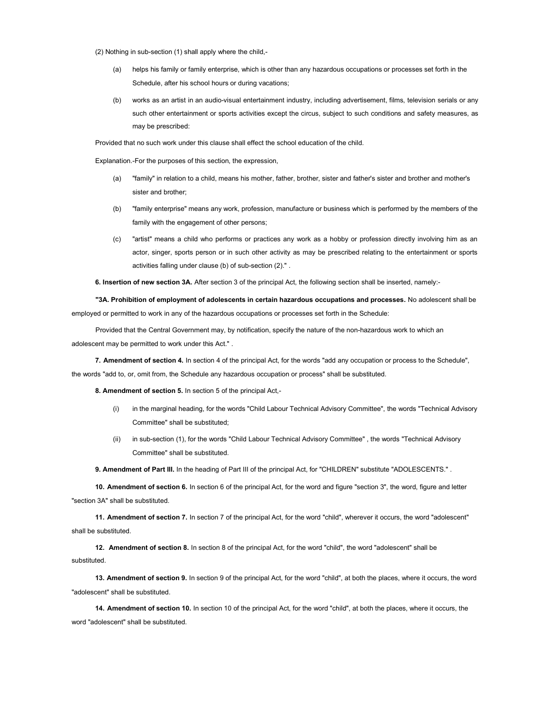(2) Nothing in sub-section (1) shall apply where the child,-

- (a) helps his family or family enterprise, which is other than any hazardous occupations or processes set forth in the Schedule, after his school hours or during vacations;
- (b) works as an artist in an audio-visual entertainment industry, including advertisement, films, television serials or any such other entertainment or sports activities except the circus, subject to such conditions and safety measures, as may be prescribed:

Provided that no such work under this clause shall effect the school education of the child.

Explanation.-For the purposes of this section, the expression,

- (a) "family" in relation to a child, means his mother, father, brother, sister and father's sister and brother and mother's sister and brother;
- (b) "family enterprise" means any work, profession, manufacture or business which is performed by the members of the family with the engagement of other persons;
- (c) "artist" means a child who performs or practices any work as a hobby or profession directly involving him as an actor, singer, sports person or in such other activity as may be prescribed relating to the entertainment or sports activities falling under clause (b) of sub-section (2)." .

6. Insertion of new section 3A. After section 3 of the principal Act, the following section shall be inserted, namely:-

"3A. Prohibition of employment of adolescents in certain hazardous occupations and processes. No adolescent shall be employed or permitted to work in any of the hazardous occupations or processes set forth in the Schedule:

Provided that the Central Government may, by notification, specify the nature of the non-hazardous work to which an adolescent may be permitted to work under this Act." .

7. Amendment of section 4. In section 4 of the principal Act, for the words "add any occupation or process to the Schedule", the words "add to, or, omit from, the Schedule any hazardous occupation or process" shall be substituted.

8. Amendment of section 5. In section 5 of the principal Act,-

- (i) in the marginal heading, for the words "Child Labour Technical Advisory Committee", the words "Technical Advisory Committee" shall be substituted;
- (ii) in sub-section (1), for the words "Child Labour Technical Advisory Committee" , the words "Technical Advisory Committee" shall be substituted.

9. Amendment of Part III. In the heading of Part III of the principal Act, for "CHILDREN" substitute "ADOLESCENTS.".

10. Amendment of section 6. In section 6 of the principal Act, for the word and figure "section 3", the word, figure and letter "section 3A" shall be substituted.

11. Amendment of section 7. In section 7 of the principal Act, for the word "child", wherever it occurs, the word "adolescent" shall be substituted.

12. Amendment of section 8. In section 8 of the principal Act, for the word "child", the word "adolescent" shall be substituted.

13. Amendment of section 9. In section 9 of the principal Act, for the word "child", at both the places, where it occurs, the word "adolescent" shall be substituted.

14. Amendment of section 10. In section 10 of the principal Act, for the word "child", at both the places, where it occurs, the word "adolescent" shall be substituted.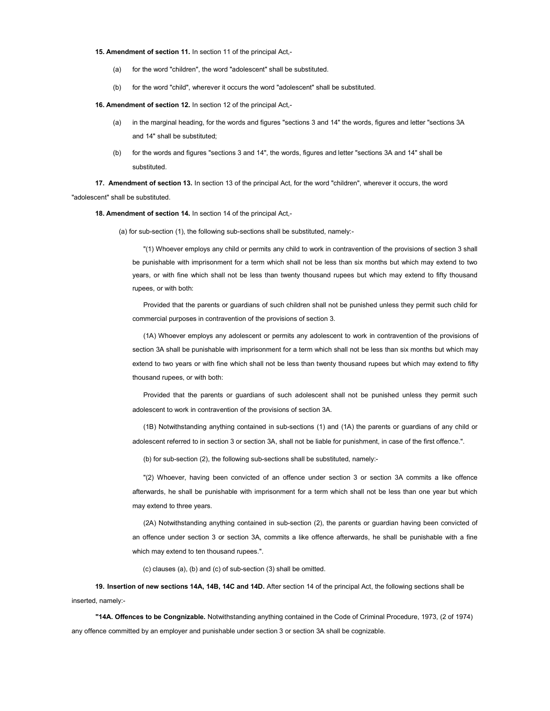#### 15. Amendment of section 11. In section 11 of the principal Act,-

- (a) for the word "children", the word "adolescent" shall be substituted.
- (b) for the word "child", wherever it occurs the word "adolescent" shall be substituted.

16. Amendment of section 12. In section 12 of the principal Act,-

- (a) in the marginal heading, for the words and figures "sections 3 and 14" the words, figures and letter "sections 3A and 14" shall be substituted;
- (b) for the words and figures "sections 3 and 14", the words, figures and letter "sections 3A and 14" shall be substituted.

17. Amendment of section 13. In section 13 of the principal Act, for the word "children", wherever it occurs, the word "adolescent" shall be substituted.

#### 18. Amendment of section 14. In section 14 of the principal Act,-

(a) for sub-section (1), the following sub-sections shall be substituted, namely:-

"(1) Whoever employs any child or permits any child to work in contravention of the provisions of section 3 shall be punishable with imprisonment for a term which shall not be less than six months but which may extend to two years, or with fine which shall not be less than twenty thousand rupees but which may extend to fifty thousand rupees, or with both:

Provided that the parents or guardians of such children shall not be punished unless they permit such child for commercial purposes in contravention of the provisions of section 3.

(1A) Whoever employs any adolescent or permits any adolescent to work in contravention of the provisions of section 3A shall be punishable with imprisonment for a term which shall not be less than six months but which may extend to two years or with fine which shall not be less than twenty thousand rupees but which may extend to fifty thousand rupees, or with both:

Provided that the parents or guardians of such adolescent shall not be punished unless they permit such adolescent to work in contravention of the provisions of section 3A.

(1B) Notwithstanding anything contained in sub-sections (1) and (1A) the parents or guardians of any child or adolescent referred to in section 3 or section 3A, shall not be liable for punishment, in case of the first offence.".

(b) for sub-section (2), the following sub-sections shall be substituted, namely:-

"(2) Whoever, having been convicted of an offence under section 3 or section 3A commits a like offence afterwards, he shall be punishable with imprisonment for a term which shall not be less than one year but which may extend to three years.

(2A) Notwithstanding anything contained in sub-section (2), the parents or guardian having been convicted of an offence under section 3 or section 3A, commits a like offence afterwards, he shall be punishable with a fine which may extend to ten thousand rupees.".

(c) clauses (a), (b) and (c) of sub-section (3) shall be omitted.

19. Insertion of new sections 14A, 14B, 14C and 14D. After section 14 of the principal Act, the following sections shall be inserted, namely:-

"14A. Offences to be Congnizable. Notwithstanding anything contained in the Code of Criminal Procedure, 1973, (2 of 1974) any offence committed by an employer and punishable under section 3 or section 3A shall be cognizable.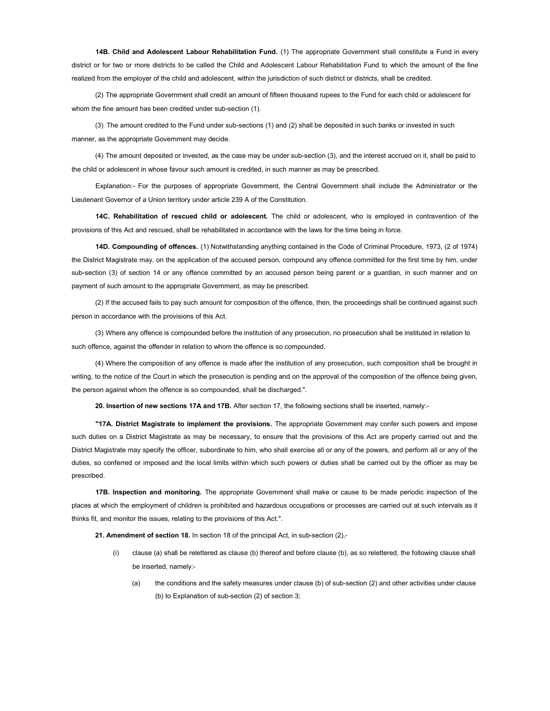14B. Child and Adolescent Labour Rehabilitation Fund. (1) The appropriate Government shall constitute a Fund in every district or for two or more districts to be called the Child and Adolescent Labour Rehabilitation Fund to which the amount of the fine realized from the employer of the child and adolescent, within the jurisdiction of such district or districts, shall be credited.

(2) The appropriate Government shall credit an amount of fifteen thousand rupees to the Fund for each child or adolescent for whom the fine amount has been credited under sub-section (1).

(3) The amount credited to the Fund under sub-sections (1) and (2) shall be deposited in such banks or invested in such manner, as the appropriate Government may decide.

(4) The amount deposited or invested, as the case may be under sub-section (3), and the interest accrued on it, shall be paid to the child or adolescent in whose favour such amount is credited, in such manner as may be prescribed.

Explanation:- For the purposes of appropriate Government, the Central Government shall include the Administrator or the Lieutenant Governor of a Union territory under article 239 A of the Constitution.

14C. Rehabilitation of rescued child or adolescent. The child or adolescent, who is employed in contravention of the provisions of this Act and rescued, shall be rehabilitated in accordance with the laws for the time being in force.

14D. Compounding of offences. (1) Notwithstanding anything contained in the Code of Criminal Procedure, 1973, (2 of 1974) the District Magistrate may, on the application of the accused person, compound any offence committed for the first time by him, under sub-section (3) of section 14 or any offence committed by an accused person being parent or a guardian, in such manner and on payment of such amount to the appropriate Government, as may be prescribed.

(2) If the accused fails to pay such amount for composition of the offence, then, the proceedings shall be continued against such person in accordance with the provisions of this Act.

(3) Where any offence is compounded before the institution of any prosecution, no prosecution shall be instituted in relation to such offence, against the offender in relation to whom the offence is so compounded.

(4) Where the composition of any offence is made after the institution of any prosecution, such composition shall be brought in writing, to the notice of the Court in which the prosecution is pending and on the approval of the composition of the offence being given, the person against whom the offence is so compounded, shall be discharged.".

20. Insertion of new sections 17A and 17B. After section 17, the following sections shall be inserted, namely:-

"17A. District Magistrate to implement the provisions. The appropriate Government may confer such powers and impose such duties on a District Magistrate as may be necessary, to ensure that the provisions of this Act are properly carried out and the District Magistrate may specify the officer, subordinate to him, who shall exercise all or any of the powers, and perform all or any of the duties, so conferred or imposed and the local limits within which such powers or duties shall be carried out by the officer as may be prescribed.

17B. Inspection and monitoring. The appropriate Government shall make or cause to be made periodic inspection of the places at which the employment of children is prohibited and hazardous occupations or processes are carried out at such intervals as it thinks fit, and monitor the issues, relating to the provisions of this Act.".

21. Amendment of section 18. In section 18 of the principal Act, in sub-section (2),-

- (i) clause (a) shall be relettered as clause (b) thereof and before clause (b), as so relettered, the following clause shall be inserted, namely:-
	- (a) the conditions and the safety measures under clause (b) of sub-section (2) and other activities under clause (b) to Explanation of sub-section (2) of section 3;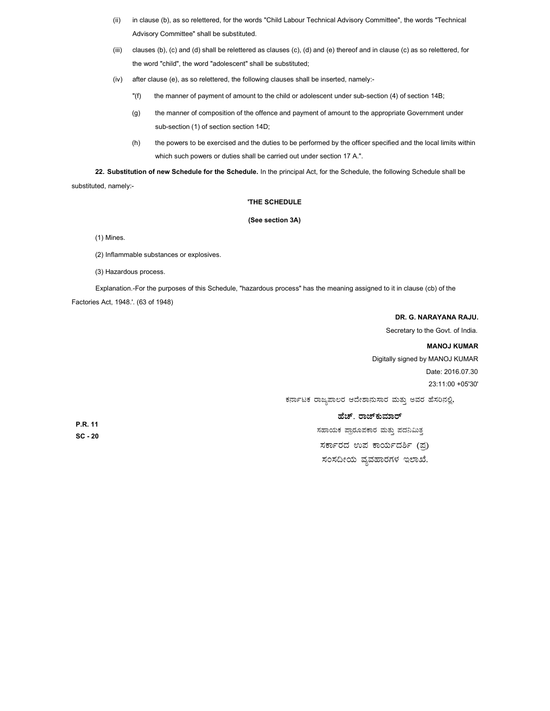- (ii) in clause (b), as so relettered, for the words "Child Labour Technical Advisory Committee", the words "Technical Advisory Committee" shall be substituted.
- (iii) clauses (b), (c) and (d) shall be relettered as clauses (c), (d) and (e) thereof and in clause (c) as so relettered, for the word "child", the word "adolescent" shall be substituted;
- (iv) after clause (e), as so relettered, the following clauses shall be inserted, namely:-
	- "(f) the manner of payment of amount to the child or adolescent under sub-section (4) of section 14B;
	- (g) the manner of composition of the offence and payment of amount to the appropriate Government under sub-section (1) of section section 14D;
	- (h) the powers to be exercised and the duties to be performed by the officer specified and the local limits within which such powers or duties shall be carried out under section 17 A.".

22. Substitution of new Schedule for the Schedule. In the principal Act, for the Schedule, the following Schedule shall be substituted, namely:-

### 'THE SCHEDULE

### (See section 3A)

(1) Mines.

- (2) Inflammable substances or explosives.
- (3) Hazardous process.

Explanation.-For the purposes of this Schedule, "hazardous process" has the meaning assigned to it in clause (cb) of the Factories Act, 1948.'. (63 of 1948)

## DR. G. NARAYANA RAJU.

Secretary to the Govt. of India.

# MANOJ KUMAR

Digitally signed by MANOJ KUMAR Date: 2016.07.30 23:11:00 +05'30'

ಕರ್ನಾಟಕ ರಾಜ್ಯಪಾಲರ ಆದೇಶಾನುಸಾರ ಮತ್ತು ಅವರ ಹೆಸರಿನಲ್ಲಿ,

# ಹೆಚ್. ರಾಜ್**ಕುಮಾ**ರ್

ಸಹಾಯಕ ಪ್ರಾರೂಪಕಾರ ಮತ್ತು ಪದನಿಮಿತ್<mark>ತ</mark> ಸರ್ಕಾರದ ಉಪ ಕಾರ್ಯದರ್ಶಿ (ಪು) ಸಂಸದೀಯ ವ್ಯವಹಾರಗಳ ಇಲಾಖೆ.

P.R. 11 SC - 20